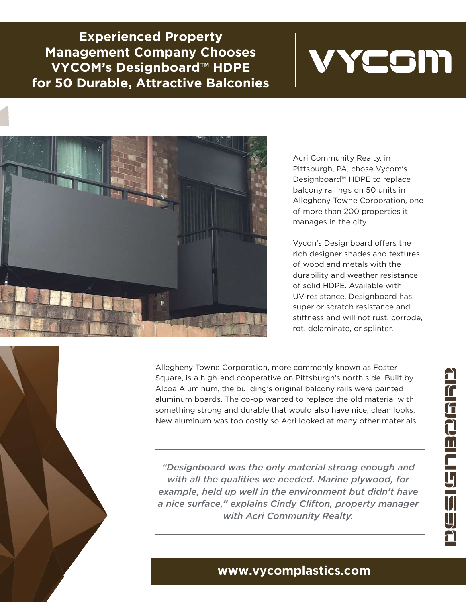**Experienced Property Management Company Chooses VYCOM's Designboard™ HDPE for 50 Durable, Attractive Balconies**





Acri Community Realty, in Pittsburgh, PA, chose Vycom's Designboard™ HDPE to replace balcony railings on 50 units in Allegheny Towne Corporation, one of more than 200 properties it manages in the city.

Vycon's Designboard offers the rich designer shades and textures of wood and metals with the durability and weather resistance of solid HDPE. Available with UV resistance, Designboard has superior scratch resistance and stiffness and will not rust, corrode, rot, delaminate, or splinter.

Allegheny Towne Corporation, more commonly known as Foster Square, is a high-end cooperative on Pittsburgh's north side. Built by Alcoa Aluminum, the building's original balcony rails were painted aluminum boards. The co-op wanted to replace the old material with something strong and durable that would also have nice, clean looks. New aluminum was too costly so Acri looked at many other materials.

*"Designboard was the only material strong enough and with all the qualities we needed. Marine plywood, for example, held up well in the environment but didn't have a nice surface," explains Cindy Clifton, property manager with Acri Community Realty.*

## **www.vycomplastics.com**